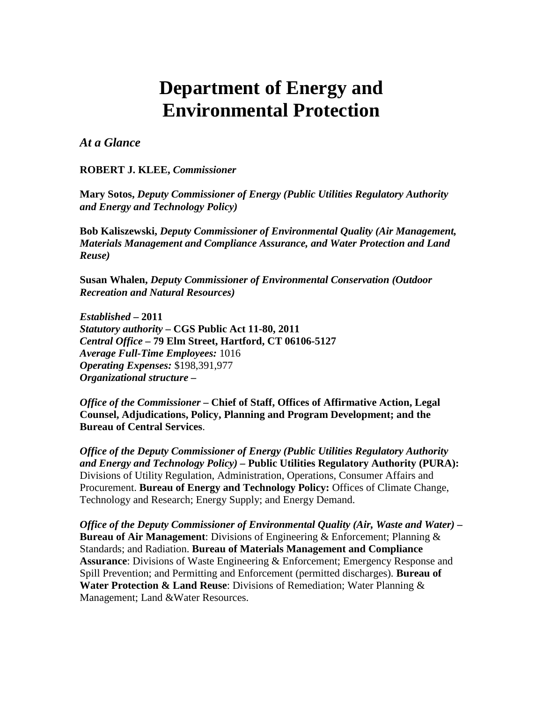# **Department of Energy and Environmental Protection**

#### *At a Glance*

**ROBERT J. KLEE,** *Commissioner* 

**Mary Sotos,** *Deputy Commissioner of Energy (Public Utilities Regulatory Authority and Energy and Technology Policy)* 

**Bob Kaliszewski,** *Deputy Commissioner of Environmental Quality (Air Management, Materials Management and Compliance Assurance, and Water Protection and Land Reuse)* 

**Susan Whalen,** *Deputy Commissioner of Environmental Conservation (Outdoor Recreation and Natural Resources)* 

*Established* **– 2011**  *Statutory authority* **– CGS Public Act 11-80, 2011**  *Central Office* **– 79 Elm Street, Hartford, CT 06106-5127**  *Average Full-Time Employees:* 1016 *Operating Expenses:* \$198,391,977 *Organizational structure* **–**

*Office of the Commissioner* **– Chief of Staff, Offices of Affirmative Action, Legal Counsel, Adjudications, Policy, Planning and Program Development; and the Bureau of Central Services**.

*Office of the Deputy Commissioner of Energy (Public Utilities Regulatory Authority and Energy and Technology Policy) –* **Public Utilities Regulatory Authority (PURA):**  Divisions of Utility Regulation, Administration, Operations, Consumer Affairs and Procurement. **Bureau of Energy and Technology Policy:** Offices of Climate Change, Technology and Research; Energy Supply; and Energy Demand.

*Office of the Deputy Commissioner of Environmental Quality (Air, Waste and Water) –* **Bureau of Air Management**: Divisions of Engineering & Enforcement; Planning & Standards; and Radiation. **Bureau of Materials Management and Compliance Assurance**: Divisions of Waste Engineering & Enforcement; Emergency Response and Spill Prevention; and Permitting and Enforcement (permitted discharges). **Bureau of Water Protection & Land Reuse**: Divisions of Remediation; Water Planning & Management; Land &Water Resources.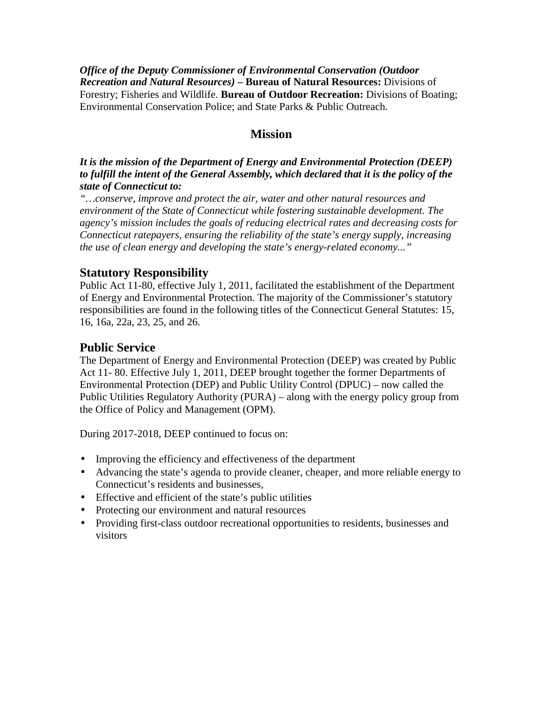*Office of the Deputy Commissioner of Environmental Conservation (Outdoor Recreation and Natural Resources) –* **Bureau of Natural Resources:** Divisions of Forestry; Fisheries and Wildlife. **Bureau of Outdoor Recreation:** Divisions of Boating; Environmental Conservation Police; and State Parks & Public Outreach.

## **Mission**

#### *It is the mission of the Department of Energy and Environmental Protection (DEEP) to fulfill the intent of the General Assembly, which declared that it is the policy of the state of Connecticut to:*

*"…conserve, improve and protect the air, water and other natural resources and environment of the State of Connecticut while fostering sustainable development. The agency's mission includes the goals of reducing electrical rates and decreasing costs for Connecticut ratepayers, ensuring the reliability of the state's energy supply, increasing the use of clean energy and developing the state's energy-related economy..."* 

## **Statutory Responsibility**

Public Act 11-80, effective July 1, 2011, facilitated the establishment of the Department of Energy and Environmental Protection. The majority of the Commissioner's statutory responsibilities are found in the following titles of the Connecticut General Statutes: 15, 16, 16a, 22a, 23, 25, and 26.

## **Public Service**

The Department of Energy and Environmental Protection (DEEP) was created by Public Act 11- 80. Effective July 1, 2011, DEEP brought together the former Departments of Environmental Protection (DEP) and Public Utility Control (DPUC) – now called the Public Utilities Regulatory Authority (PURA) – along with the energy policy group from the Office of Policy and Management (OPM).

During 2017-2018, DEEP continued to focus on:

- Improving the efficiency and effectiveness of the department
- Advancing the state's agenda to provide cleaner, cheaper, and more reliable energy to Connecticut's residents and businesses,
- Effective and efficient of the state's public utilities
- Protecting our environment and natural resources
- Providing first-class outdoor recreational opportunities to residents, businesses and visitors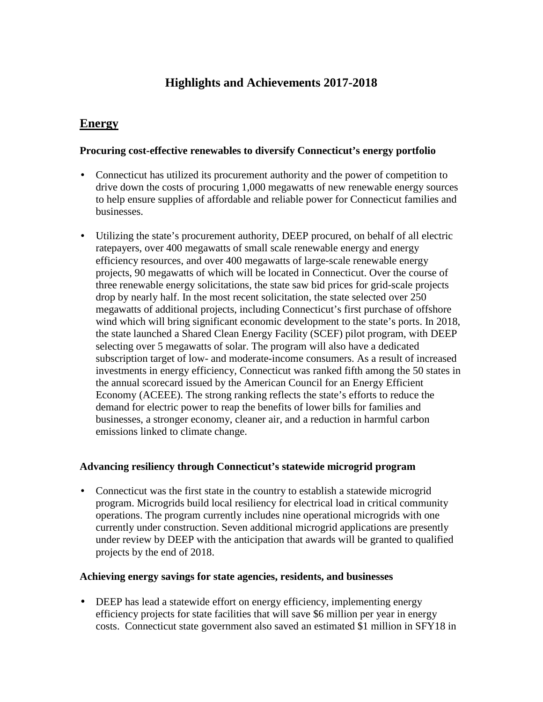# **Highlights and Achievements 2017-2018**

## **Energy**

#### **Procuring cost-effective renewables to diversify Connecticut's energy portfolio**

- Connecticut has utilized its procurement authority and the power of competition to ä, drive down the costs of procuring 1,000 megawatts of new renewable energy sources to help ensure supplies of affordable and reliable power for Connecticut families and businesses.
- Utilizing the state's procurement authority, DEEP procured, on behalf of all electric ratepayers, over 400 megawatts of small scale renewable energy and energy efficiency resources, and over 400 megawatts of large-scale renewable energy projects, 90 megawatts of which will be located in Connecticut. Over the course of three renewable energy solicitations, the state saw bid prices for grid-scale projects drop by nearly half. In the most recent solicitation, the state selected over 250 megawatts of additional projects, including Connecticut's first purchase of offshore wind which will bring significant economic development to the state's ports. In 2018, the state launched a Shared Clean Energy Facility (SCEF) pilot program, with DEEP selecting over 5 megawatts of solar. The program will also have a dedicated subscription target of low- and moderate-income consumers. As a result of increased investments in energy efficiency, Connecticut was ranked fifth among the 50 states in the annual scorecard issued by the American Council for an Energy Efficient Economy (ACEEE). The strong ranking reflects the state's efforts to reduce the demand for electric power to reap the benefits of lower bills for families and businesses, a stronger economy, cleaner air, and a reduction in harmful carbon emissions linked to climate change.

#### **Advancing resiliency through Connecticut's statewide microgrid program**

 $\mathcal{L}^{\pm}$ Connecticut was the first state in the country to establish a statewide microgrid program. Microgrids build local resiliency for electrical load in critical community operations. The program currently includes nine operational microgrids with one currently under construction. Seven additional microgrid applications are presently under review by DEEP with the anticipation that awards will be granted to qualified projects by the end of 2018.

#### **Achieving energy savings for state agencies, residents, and businesses**

DEEP has lead a statewide effort on energy efficiency, implementing energy efficiency projects for state facilities that will save \$6 million per year in energy costs. Connecticut state government also saved an estimated \$1 million in SFY18 in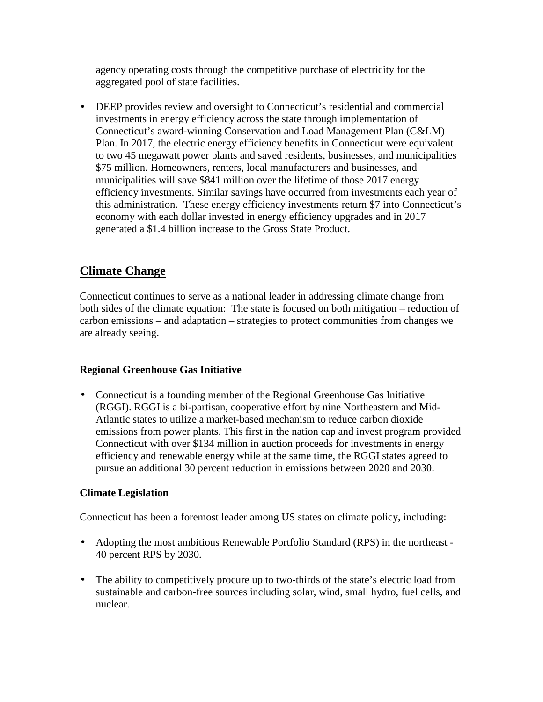agency operating costs through the competitive purchase of electricity for the aggregated pool of state facilities.

DEEP provides review and oversight to Connecticut's residential and commercial ¥. investments in energy efficiency across the state through implementation of Connecticut's award-winning Conservation and Load Management Plan (C&LM) Plan. In 2017, the electric energy efficiency benefits in Connecticut were equivalent to two 45 megawatt power plants and saved residents, businesses, and municipalities \$75 million. Homeowners, renters, local manufacturers and businesses, and municipalities will save \$841 million over the lifetime of those 2017 energy efficiency investments. Similar savings have occurred from investments each year of this administration. These energy efficiency investments return \$7 into Connecticut's economy with each dollar invested in energy efficiency upgrades and in 2017 generated a \$1.4 billion increase to the Gross State Product.

## **Climate Change**

Connecticut continues to serve as a national leader in addressing climate change from both sides of the climate equation: The state is focused on both mitigation – reduction of carbon emissions – and adaptation – strategies to protect communities from changes we are already seeing.

## **Regional Greenhouse Gas Initiative**

Connecticut is a founding member of the Regional Greenhouse Gas Initiative (RGGI). RGGI is a bi-partisan, cooperative effort by nine Northeastern and Mid-Atlantic states to utilize a market-based mechanism to reduce carbon dioxide emissions from power plants. This first in the nation cap and invest program provided Connecticut with over \$134 million in auction proceeds for investments in energy efficiency and renewable energy while at the same time, the RGGI states agreed to pursue an additional 30 percent reduction in emissions between 2020 and 2030.

## **Climate Legislation**

Connecticut has been a foremost leader among US states on climate policy, including:

- Adopting the most ambitious Renewable Portfolio Standard (RPS) in the northeast 40 percent RPS by 2030.
- The ability to competitively procure up to two-thirds of the state's electric load from sustainable and carbon-free sources including solar, wind, small hydro, fuel cells, and nuclear.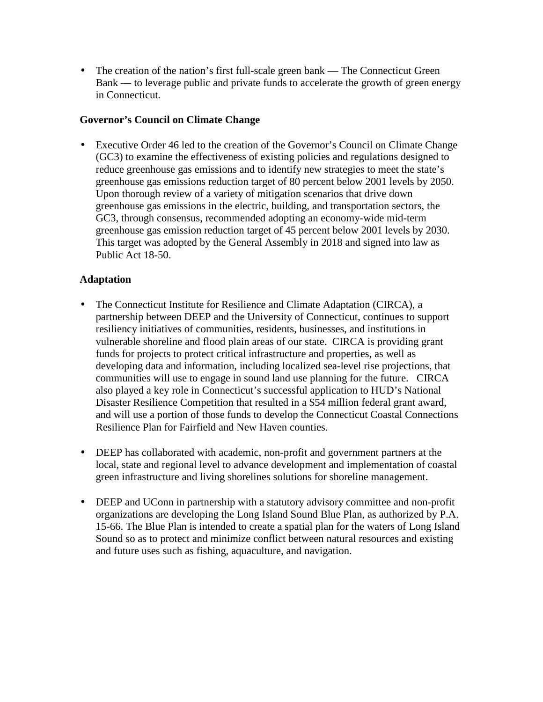The creation of the nation's first full-scale green bank — The Connecticut Green  $\mathbb{Z}^{\mathbb{Z}}$ Bank — to leverage public and private funds to accelerate the growth of green energy in Connecticut.

## **Governor's Council on Climate Change**

Executive Order 46 led to the creation of the Governor's Council on Climate Change (GC3) to examine the effectiveness of existing policies and regulations designed to reduce greenhouse gas emissions and to identify new strategies to meet the state's greenhouse gas emissions reduction target of 80 percent below 2001 levels by 2050. Upon thorough review of a variety of mitigation scenarios that drive down greenhouse gas emissions in the electric, building, and transportation sectors, the GC3, through consensus, recommended adopting an economy-wide mid-term greenhouse gas emission reduction target of 45 percent below 2001 levels by 2030. This target was adopted by the General Assembly in 2018 and signed into law as Public Act 18-50.

#### **Adaptation**

- ä, The Connecticut Institute for Resilience and Climate Adaptation (CIRCA), a partnership between DEEP and the University of Connecticut, continues to support resiliency initiatives of communities, residents, businesses, and institutions in vulnerable shoreline and flood plain areas of our state. CIRCA is providing grant funds for projects to protect critical infrastructure and properties, as well as developing data and information, including localized sea-level rise projections, that communities will use to engage in sound land use planning for the future. CIRCA also played a key role in Connecticut's successful application to HUD's National Disaster Resilience Competition that resulted in a \$54 million federal grant award, and will use a portion of those funds to develop the Connecticut Coastal Connections Resilience Plan for Fairfield and New Haven counties.
- DEEP has collaborated with academic, non-profit and government partners at the local, state and regional level to advance development and implementation of coastal green infrastructure and living shorelines solutions for shoreline management.
- DEEP and UConn in partnership with a statutory advisory committee and non-profit ¥, organizations are developing the Long Island Sound Blue Plan, as authorized by P.A. 15-66. The Blue Plan is intended to create a spatial plan for the waters of Long Island Sound so as to protect and minimize conflict between natural resources and existing and future uses such as fishing, aquaculture, and navigation.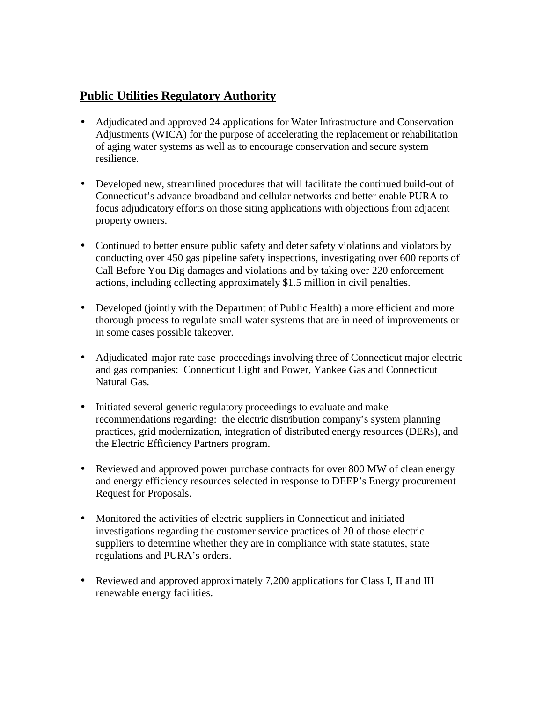## **Public Utilities Regulatory Authority**

- Adjudicated and approved 24 applications for Water Infrastructure and Conservation Adjustments (WICA) for the purpose of accelerating the replacement or rehabilitation of aging water systems as well as to encourage conservation and secure system resilience.
- Developed new, streamlined procedures that will facilitate the continued build-out of Connecticut's advance broadband and cellular networks and better enable PURA to focus adjudicatory efforts on those siting applications with objections from adjacent property owners.
- Continued to better ensure public safety and deter safety violations and violators by  $\mathbf{L}$ conducting over 450 gas pipeline safety inspections, investigating over 600 reports of Call Before You Dig damages and violations and by taking over 220 enforcement actions, including collecting approximately \$1.5 million in civil penalties.
- Developed (jointly with the Department of Public Health) a more efficient and more thorough process to regulate small water systems that are in need of improvements or in some cases possible takeover.
- Adjudicated major rate case proceedings involving three of Connecticut major electric and gas companies: Connecticut Light and Power, Yankee Gas and Connecticut Natural Gas.
- Initiated several generic regulatory proceedings to evaluate and make  $\mathbf{r}$ recommendations regarding: the electric distribution company's system planning practices, grid modernization, integration of distributed energy resources (DERs), and the Electric Efficiency Partners program.
- Reviewed and approved power purchase contracts for over 800 MW of clean energy  $\mathbb{Z}^{\mathbb{Z}}$ and energy efficiency resources selected in response to DEEP's Energy procurement Request for Proposals.
- $\mathbf{r}$ Monitored the activities of electric suppliers in Connecticut and initiated investigations regarding the customer service practices of 20 of those electric suppliers to determine whether they are in compliance with state statutes, state regulations and PURA's orders.
- Reviewed and approved approximately 7,200 applications for Class I, II and III renewable energy facilities.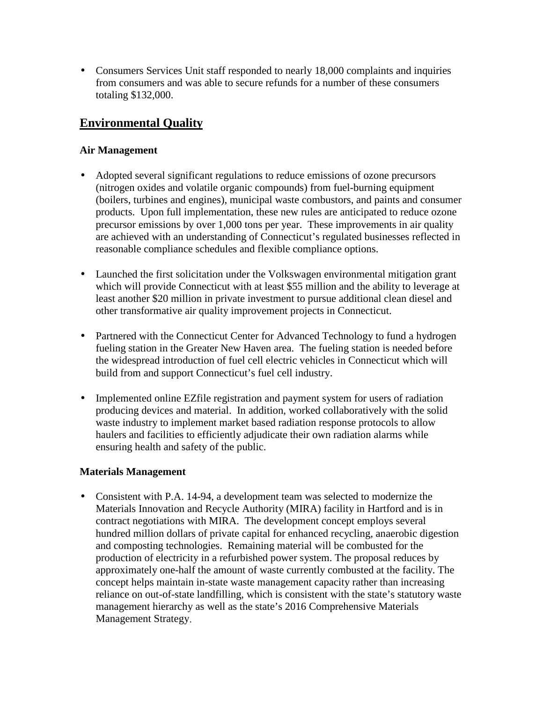Consumers Services Unit staff responded to nearly 18,000 complaints and inquiries ¥, from consumers and was able to secure refunds for a number of these consumers totaling \$132,000.

## **Environmental Quality**

## **Air Management**

- Adopted several significant regulations to reduce emissions of ozone precursors (nitrogen oxides and volatile organic compounds) from fuel-burning equipment (boilers, turbines and engines), municipal waste combustors, and paints and consumer products. Upon full implementation, these new rules are anticipated to reduce ozone precursor emissions by over 1,000 tons per year. These improvements in air quality are achieved with an understanding of Connecticut's regulated businesses reflected in reasonable compliance schedules and flexible compliance options.
- Launched the first solicitation under the Volkswagen environmental mitigation grant which will provide Connecticut with at least \$55 million and the ability to leverage at least another \$20 million in private investment to pursue additional clean diesel and other transformative air quality improvement projects in Connecticut.
- Partnered with the Connecticut Center for Advanced Technology to fund a hydrogen fueling station in the Greater New Haven area. The fueling station is needed before the widespread introduction of fuel cell electric vehicles in Connecticut which will build from and support Connecticut's fuel cell industry.
- Implemented online EZfile registration and payment system for users of radiation producing devices and material. In addition, worked collaboratively with the solid waste industry to implement market based radiation response protocols to allow haulers and facilities to efficiently adjudicate their own radiation alarms while ensuring health and safety of the public.

## **Materials Management**

Consistent with P.A. 14-94, a development team was selected to modernize the ä, Materials Innovation and Recycle Authority (MIRA) facility in Hartford and is in contract negotiations with MIRA. The development concept employs several hundred million dollars of private capital for enhanced recycling, anaerobic digestion and composting technologies. Remaining material will be combusted for the production of electricity in a refurbished power system. The proposal reduces by approximately one-half the amount of waste currently combusted at the facility. The concept helps maintain in-state waste management capacity rather than increasing reliance on out-of-state landfilling, which is consistent with the state's statutory waste management hierarchy as well as the state's 2016 Comprehensive Materials Management Strategy.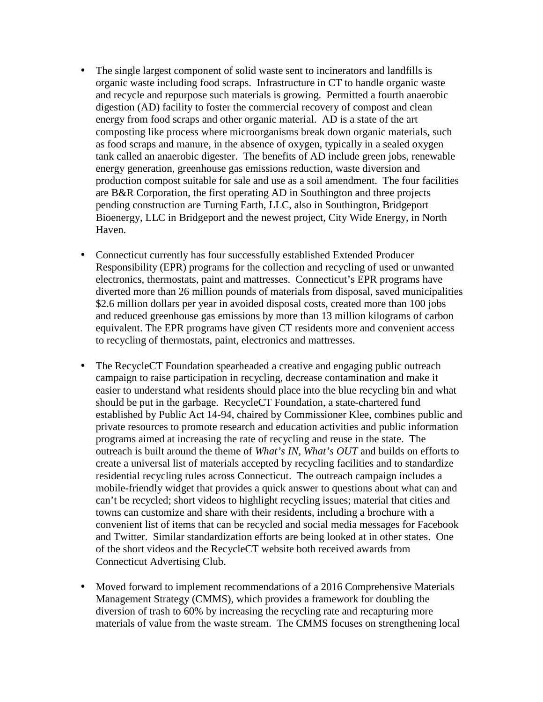- The single largest component of solid waste sent to incinerators and landfills is organic waste including food scraps. Infrastructure in CT to handle organic waste and recycle and repurpose such materials is growing. Permitted a fourth anaerobic digestion (AD) facility to foster the commercial recovery of compost and clean energy from food scraps and other organic material. AD is a state of the art composting like process where microorganisms break down organic materials, such as food scraps and manure, in the absence of oxygen, typically in a sealed oxygen tank called an anaerobic digester. The benefits of AD include green jobs, renewable energy generation, greenhouse gas emissions reduction, waste diversion and production compost suitable for sale and use as a soil amendment. The four facilities are B&R Corporation, the first operating AD in Southington and three projects pending construction are Turning Earth, LLC, also in Southington, Bridgeport Bioenergy, LLC in Bridgeport and the newest project, City Wide Energy, in North Haven.
- Connecticut currently has four successfully established Extended Producer Responsibility (EPR) programs for the collection and recycling of used or unwanted electronics, thermostats, paint and mattresses. Connecticut's EPR programs have diverted more than 26 million pounds of materials from disposal, saved municipalities \$2.6 million dollars per year in avoided disposal costs, created more than 100 jobs and reduced greenhouse gas emissions by more than 13 million kilograms of carbon equivalent. The EPR programs have given CT residents more and convenient access to recycling of thermostats, paint, electronics and mattresses.
	- The RecycleCT Foundation spearheaded a creative and engaging public outreach campaign to raise participation in recycling, decrease contamination and make it easier to understand what residents should place into the blue recycling bin and what should be put in the garbage. RecycleCT Foundation, a state-chartered fund established by Public Act 14-94, chaired by Commissioner Klee, combines public and private resources to promote research and education activities and public information programs aimed at increasing the rate of recycling and reuse in the state. The outreach is built around the theme of *What's IN, What's OUT* and builds on efforts to create a universal list of materials accepted by recycling facilities and to standardize residential recycling rules across Connecticut. The outreach campaign includes a mobile-friendly widget that provides a quick answer to questions about what can and can't be recycled; [short videos](http://www.recyclect.com/social.html) to highlight recycling issues; [material that cities and](http://www.recyclect.com/resources.html)  [towns can](http://www.recyclect.com/resources.html) customize and share with their residents, including a brochure with a convenient list of items that can be recycled and [social media messages](http://www.recyclect.com/social.html) for Facebook and Twitter. Similar standardization efforts are being looked at in other states. One of the short videos and the RecycleCT website both received awards from Connecticut Advertising Club.
- Moved forward to implement recommendations of a 2016 Comprehensive Materials Management Strategy (CMMS), which provides a framework for doubling the diversion of trash to 60% by increasing the recycling rate and recapturing more materials of value from the waste stream. The CMMS focuses on strengthening local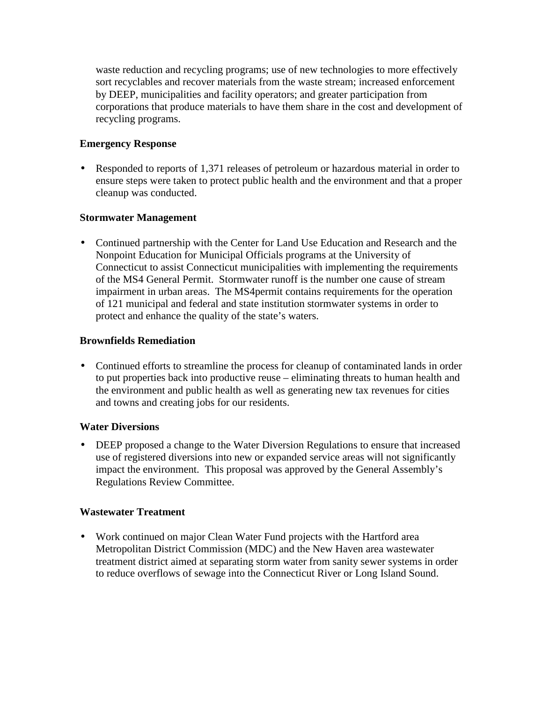waste reduction and recycling programs; use of new technologies to more effectively sort recyclables and recover materials from the waste stream; increased enforcement by DEEP, municipalities and facility operators; and greater participation from corporations that produce materials to have them share in the cost and development of recycling programs.

## **Emergency Response**

Responded to reports of 1,371 releases of petroleum or hazardous material in order to ensure steps were taken to protect public health and the environment and that a proper cleanup was conducted.

## **Stormwater Management**

Continued partnership with the Center for Land Use Education and Research and the Nonpoint Education for Municipal Officials programs at the University of Connecticut to assist Connecticut municipalities with implementing the requirements of the MS4 General Permit. Stormwater runoff is the number one cause of stream impairment in urban areas. The MS4permit contains requirements for the operation of 121 municipal and federal and state institution stormwater systems in order to protect and enhance the quality of the state's waters.

#### **Brownfields Remediation**

Continued efforts to streamline the process for cleanup of contaminated lands in order to put properties back into productive reuse – eliminating threats to human health and the environment and public health as well as generating new tax revenues for cities and towns and creating jobs for our residents.

## **Water Diversions**

DEEP proposed a change to the Water Diversion Regulations to ensure that increased use of registered diversions into new or expanded service areas will not significantly impact the environment. This proposal was approved by the General Assembly's Regulations Review Committee.

## **Wastewater Treatment**

Work continued on major Clean Water Fund projects with the Hartford area Metropolitan District Commission (MDC) and the New Haven area wastewater treatment district aimed at separating storm water from sanity sewer systems in order to reduce overflows of sewage into the Connecticut River or Long Island Sound.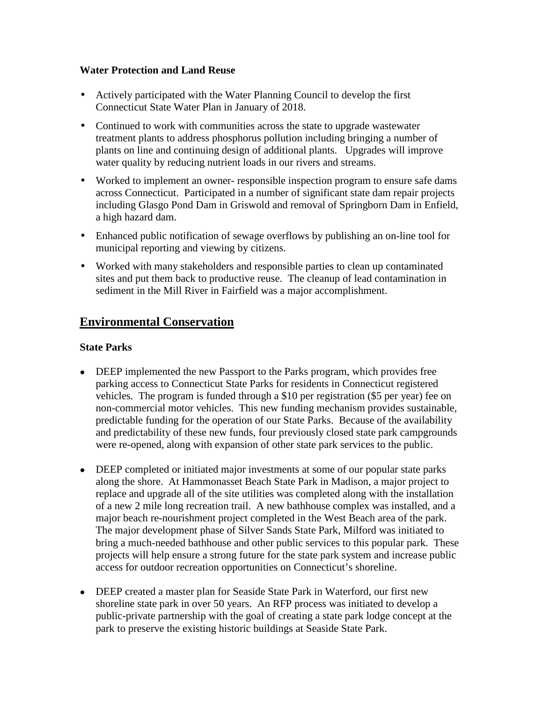#### **Water Protection and Land Reuse**

- Actively participated with the Water Planning Council to develop the first Connecticut State Water Plan in January of 2018.
- Continued to work with communities across the state to upgrade wastewater treatment plants to address phosphorus pollution including bringing a number of plants on line and continuing design of additional plants. Upgrades will improve water quality by reducing nutrient loads in our rivers and streams.
- Worked to implement an owner- responsible inspection program to ensure safe dams across Connecticut. Participated in a number of significant state dam repair projects including Glasgo Pond Dam in Griswold and removal of Springborn Dam in Enfield, a high hazard dam.
- $\mathbf{r}^{\left(1\right)}$ Enhanced public notification of sewage overflows by publishing an on-line tool for municipal reporting and viewing by citizens.
- Worked with many stakeholders and responsible parties to clean up contaminated sites and put them back to productive reuse. The cleanup of lead contamination in sediment in the Mill River in Fairfield was a major accomplishment.

# **Environmental Conservation**

## **State Parks**

- DEEP implemented the new Passport to the Parks program, which provides free parking access to Connecticut State Parks for residents in Connecticut registered vehicles. The program is funded through a \$10 per registration (\$5 per year) fee on non-commercial motor vehicles. This new funding mechanism provides sustainable, predictable funding for the operation of our State Parks. Because of the availability and predictability of these new funds, four previously closed state park campgrounds were re-opened, along with expansion of other state park services to the public.
- DEEP completed or initiated major investments at some of our popular state parks along the shore. At Hammonasset Beach State Park in Madison, a major project to replace and upgrade all of the site utilities was completed along with the installation of a new 2 mile long recreation trail. A new bathhouse complex was installed, and a major beach re-nourishment project completed in the West Beach area of the park. The major development phase of Silver Sands State Park, Milford was initiated to bring a much-needed bathhouse and other public services to this popular park. These projects will help ensure a strong future for the state park system and increase public access for outdoor recreation opportunities on Connecticut's shoreline.
- DEEP created a master plan for Seaside State Park in Waterford, our first new shoreline state park in over 50 years. An RFP process was initiated to develop a public-private partnership with the goal of creating a state park lodge concept at the park to preserve the existing historic buildings at Seaside State Park.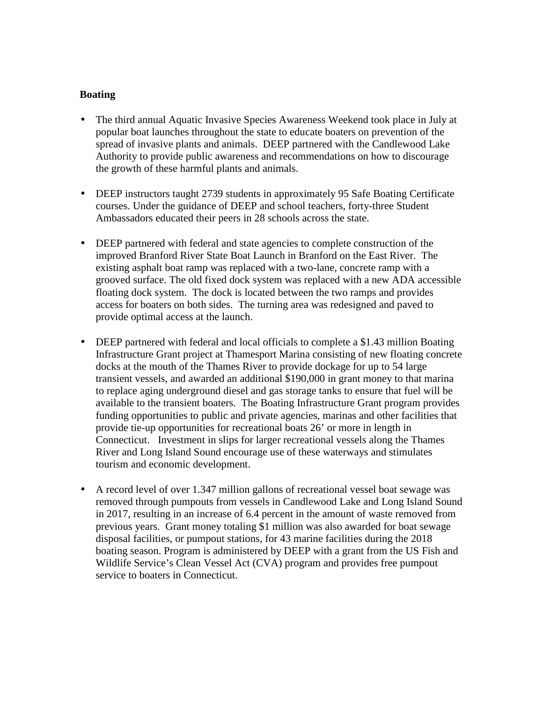#### **Boating**

- The third annual Aquatic Invasive Species Awareness Weekend took place in July at popular boat launches throughout the state to educate boaters on prevention of the spread of invasive plants and animals. DEEP partnered with the Candlewood Lake Authority to provide public awareness and recommendations on how to discourage the growth of these harmful plants and animals.
- DEEP instructors taught 2739 students in approximately 95 Safe Boating Certificate courses. Under the guidance of DEEP and school teachers, forty-three Student Ambassadors educated their peers in 28 schools across the state.
- DEEP partnered with federal and state agencies to complete construction of the improved Branford River State Boat Launch in Branford on the East River. The existing asphalt boat ramp was replaced with a two-lane, concrete ramp with a grooved surface. The old fixed dock system was replaced with a new ADA accessible floating dock system. The dock is located between the two ramps and provides access for boaters on both sides. The turning area was redesigned and paved to provide optimal access at the launch.
- DEEP partnered with federal and local officials to complete a \$1.43 million Boating Infrastructure Grant project at Thamesport Marina consisting of new floating concrete docks at the mouth of the Thames River to provide dockage for up to 54 large transient vessels, and awarded an additional \$190,000 in grant money to that marina to replace aging underground diesel and gas storage tanks to ensure that fuel will be available to the transient boaters. The Boating Infrastructure Grant program provides funding opportunities to public and private agencies, marinas and other facilities that provide tie-up opportunities for recreational boats 26' or more in length in Connecticut. Investment in slips for larger recreational vessels along the Thames River and Long Island Sound encourage use of these waterways and stimulates tourism and economic development.
- A record level of over 1.347 million gallons of recreational vessel boat sewage was removed through pumpouts from vessels in Candlewood Lake and Long Island Sound in 2017, resulting in an increase of 6.4 percent in the amount of waste removed from previous years. Grant money totaling \$1 million was also awarded for boat sewage disposal facilities, or pumpout stations, for 43 marine facilities during the 2018 boating season. Program is administered by DEEP with a grant from the US Fish and Wildlife Service's Clean Vessel Act (CVA) program and provides free pumpout service to boaters in Connecticut.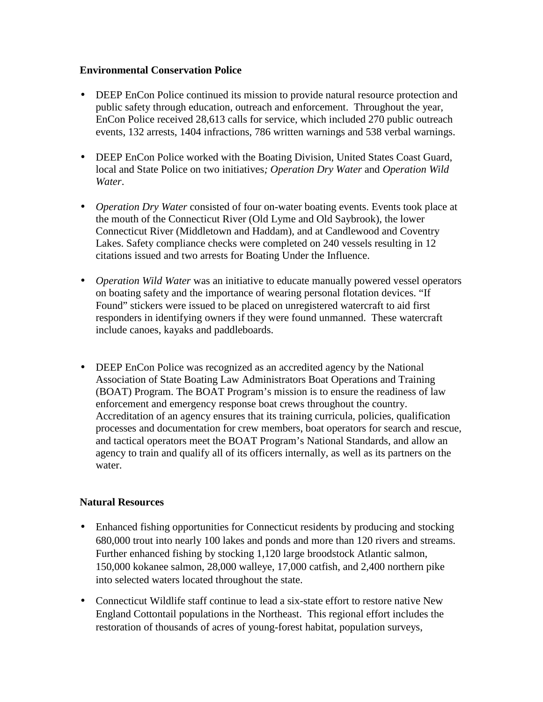#### **Environmental Conservation Police**

- DEEP EnCon Police continued its mission to provide natural resource protection and  $\mathbf{r}^{\prime}$ public safety through education, outreach and enforcement. Throughout the year, EnCon Police received 28,613 calls for service, which included 270 public outreach events, 132 arrests, 1404 infractions, 786 written warnings and 538 verbal warnings.
- DEEP EnCon Police worked with the Boating Division, United States Coast Guard, local and State Police on two initiatives*; Operation Dry Water* and *Operation Wild Water*.
- *Operation Dry Water* consisted of four on-water boating events. Events took place at the mouth of the Connecticut River (Old Lyme and Old Saybrook), the lower Connecticut River (Middletown and Haddam), and at Candlewood and Coventry Lakes. Safety compliance checks were completed on 240 vessels resulting in 12 citations issued and two arrests for Boating Under the Influence.
- *Operation Wild Water* was an initiative to educate manually powered vessel operators  $\mathbf{r}$ on boating safety and the importance of wearing personal flotation devices. "If Found" stickers were issued to be placed on unregistered watercraft to aid first responders in identifying owners if they were found unmanned. These watercraft include canoes, kayaks and paddleboards.
- DEEP EnCon Police was recognized as an accredited agency by the National Association of State Boating Law Administrators Boat Operations and Training (BOAT) Program. The BOAT Program's mission is to ensure the readiness of law enforcement and emergency response boat crews throughout the country. Accreditation of an agency ensures that its training curricula, policies, qualification processes and documentation for crew members, boat operators for search and rescue, and tactical operators meet the BOAT Program's National Standards, and allow an agency to train and qualify all of its officers internally, as well as its partners on the water.

## **Natural Resources**

- Enhanced fishing opportunities for Connecticut residents by producing and stocking 680,000 trout into nearly 100 lakes and ponds and more than 120 rivers and streams. Further enhanced fishing by stocking 1,120 large broodstock Atlantic salmon, 150,000 kokanee salmon, 28,000 walleye, 17,000 catfish, and 2,400 northern pike into selected waters located throughout the state.
- Connecticut Wildlife staff continue to lead a six-state effort to restore native New England Cottontail populations in the Northeast. This regional effort includes the restoration of thousands of acres of young-forest habitat, population surveys,